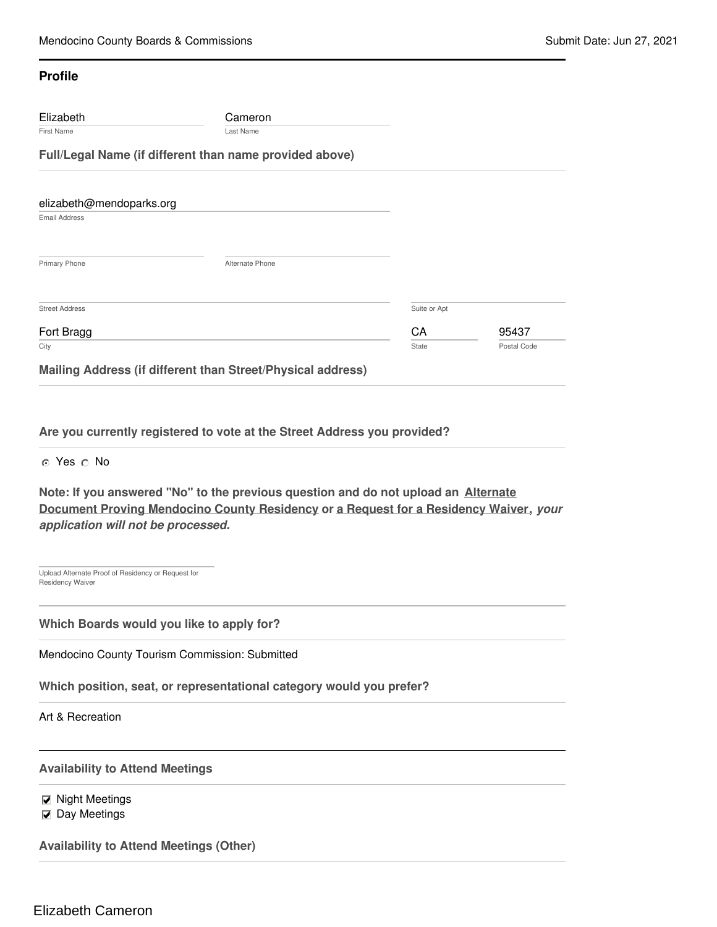## **Profile**

| Elizabeth<br><b>First Name</b>                   | Cameron<br>Last Name                                    |              |             |  |
|--------------------------------------------------|---------------------------------------------------------|--------------|-------------|--|
|                                                  | Full/Legal Name (if different than name provided above) |              |             |  |
|                                                  |                                                         |              |             |  |
| elizabeth@mendoparks.org<br><b>Email Address</b> |                                                         |              |             |  |
|                                                  |                                                         |              |             |  |
| Primary Phone                                    | Alternate Phone                                         |              |             |  |
|                                                  |                                                         |              |             |  |
| <b>Street Address</b>                            |                                                         | Suite or Apt |             |  |
| Fort Bragg                                       |                                                         | CA           | 95437       |  |
| City                                             |                                                         | State        | Postal Code |  |

**Are you currently registered to vote at the Street Address you provided?**

o Yes o No

**Note: If you answered "No" to the previous question and do not upload an Alternate Document Proving Mendocino County Residency or a Request for a Residency Waiver,** *your application will not be processed.*

Upload Alternate Proof of Residency or Request for Residency Waiver

**Which Boards would you like to apply for?**

Mendocino County Tourism Commission: Submitted

**Which position, seat, or representational category would you prefer?**

Art & Recreation

**Availability to Attend Meetings**

 $\n **M**$  Night Meetings  $\nabla$  Day Meetings

**Availability to Attend Meetings (Other)**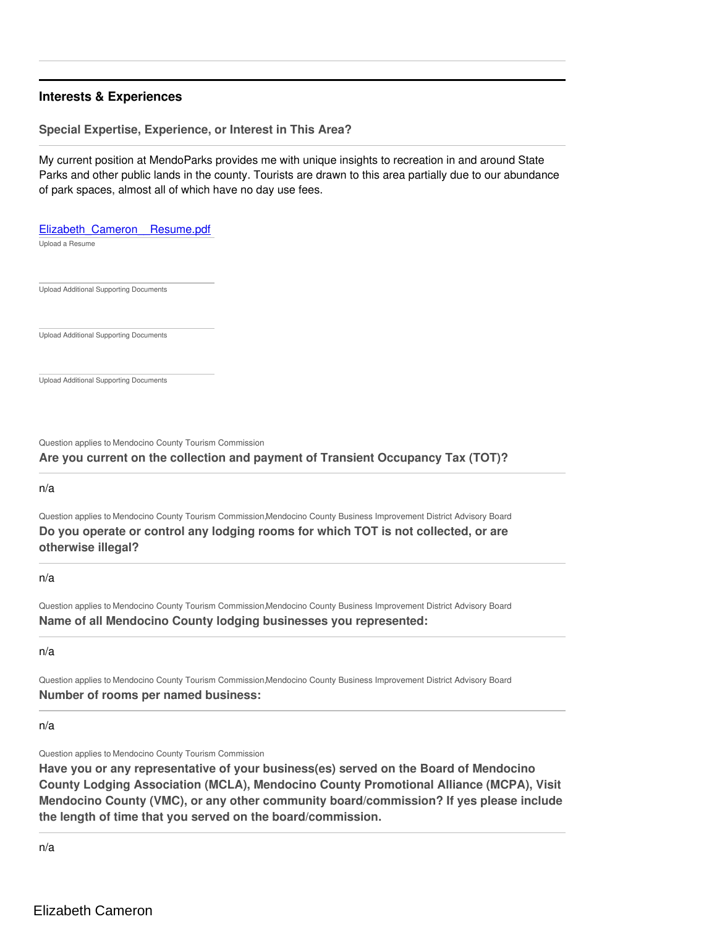# **Interests & Experiences**

#### **Special Expertise, Experience, or Interest in This Area?**

My current position at MendoParks provides me with unique insights to recreation in and around State Parks and other public lands in the county. Tourists are drawn to this area partially due to our abundance of park spaces, almost all of which have no day use fees.

Upload a Resume Elizabeth\_Cameron\_Resume.pdf

Upload Additional Supporting Documents

Upload Additional Supporting Documents

Upload Additional Supporting Documents

Question applies to Mendocino County Tourism Commission

## **Are you current on the collection and payment of Transient Occupancy Tax (TOT)?**

n/a

Question applies to Mendocino County Tourism Commission,Mendocino County Business Improvement District Advisory Board **Do you operate or control any lodging rooms for which TOT is not collected, or are otherwise illegal?**

#### n/a

Question applies to Mendocino County Tourism Commission,Mendocino County Business Improvement District Advisory Board **Name of all Mendocino County lodging businesses you represented:**

n/a

Question applies to Mendocino County Tourism Commission,Mendocino County Business Improvement District Advisory Board **Number of rooms per named business:**

n/a

Question applies to Mendocino County Tourism Commission

**Have you or any representative of your business(es) served on the Board of Mendocino County Lodging Association (MCLA), Mendocino County Promotional Alliance (MCPA), Visit Mendocino County (VMC), or any other community board/commission? If yes please include the length of time that you served on the board/commission.**

n/a